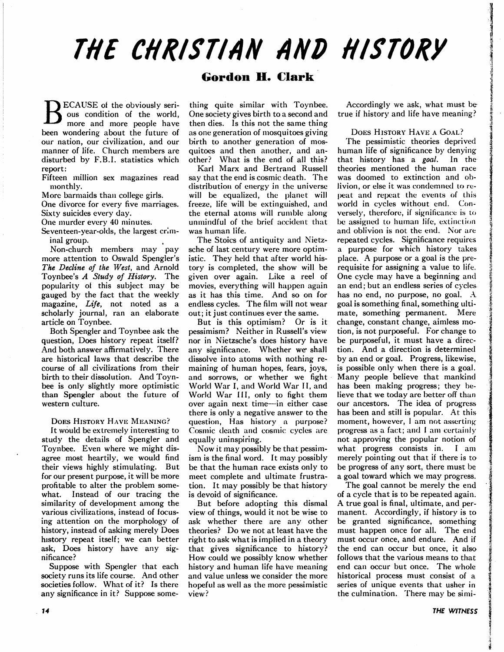# THE CHRISTIAN AND HISTORY

## Gordon H. Clark

**ECAUSE** of the obviously serious condition of the world, more and more people have been wondering about the future of our nation, our civilization, and our manner of life. Church members are disturbed by F.B.I, statistics which report:

Fifteen million sex magazines read monthly.

More barmaids than college girls.

One divorce for every five marriages. Sixty suicides every day.

One murder every 40 minutes.

Seventeen-year-olds, the largest crim inal group.

Non-church members may pay more attention to Oswald Spengler's The Decline of the West, and Arnold Toynbee's A Study of History. The popularity ot this subject may be gauged by the fact that the weekly magazine, Life, not noted as a scholarly journal, ran an elaborate article on Toynbee.

Both Spengler and Toynbee ask the question, Does history repeat itself? And both answer affirmatively. There are historical laws that describe the course of all civilizations from their birth to their dissolution. And Toyn bee is only slightly more optimistic than Spengler about the future of western culture.

DOES HISTORY HAVE MEANING?

ft would be extremely interesting to study the details of Spengler and Toynbee. Even where we might dis agree most heartily, we would find their views highly stimulating. But for our present purpose, it will be more profitable to alter the problem some what. Instead of our tracing the similarity of development among the various civilizations, instead of focus ing attention on the morphology of history, instead of asking merely Does history repeat itself; we can better ask, Does history have any sig nificance?

Suppose with Spengler that each society runs its life course. And other societies follow. What of it? Is there any significance in it? Suppose some

thing quite similar with Toynbee. One society gives birth to a second and then dies. Is this not the same thing as one generation of mosquitoes giving birth to another generation of mos quitoes and then another, and an other? What is the end of all this?

Karl Marx and Bertrand Russell say that the end is cosmic death. The distribution of energy in the universe will be equalized, the planet will freeze, life will be extinguished, and the eternal atoms will rumble along unmindful of the brief accident that was human life.

The Stoics of antiquity and Nietz sche of last century were more optim istic. They held that after world his tory is completed, the show will be given over again. Like a reel of movies, everything will happen again as it has this time. And so on for endless cycles. The film will not wear out; it just continues ever the same.

But is this optimism? Or is it pessimism? Neither in Russell's view nor in Nietzsche's does history have any significance. Whether we shall dissolve into atoms with nothing re maining of human hopes, fears, joys, and sorrows, or whether we fight World War I, and World War II, and World War III, only to fight them over again next time—in either case there is only a negative answer to the question, Has history a purpose? Cosmic death and cosmic cycles arc equally uninspiring.

Now it may possibly be that pessim ism is the final word. It may possibly be that the human race exists only to meet complete and ultimate frustra tion. It may possibly be that history is devoid of significance.

But before adopting this dismal view of things, would it not be wise to ask whether there are any other theories? Do we not at least have the right to ask what is implied in a theory that gives significance to history? How could we possibly know whether history and human life have meaning and value unless we consider the more hopeful as well as the more pessimistic view?

Accordingly we ask, what must betrue if history and life have meaning?

#### DOES HISTORY HAVE A GOAL?

The pessimistic theories deprived human life of significance by denying that history has a goal. In the theories mentioned the human race was doomed to extinction and ob livion, or else it was condemned to re peat and repeat the events of this world in cycles without end. Con versely, therefore, if significance is to be assigned to human life, extinction and oblivion is not the end. Nor are repeated cycles. Significance requires purpose for which history takes place. A purpose or a goal is the prerequisite for assigning a value to life. One cycle may have a beginning and an end; but an endless series of cycles has no end, no purpose, no goal. A goal is something final, something ulti mate, something permanent. Mere change, constant change, aimless mo tion, is not purposeful. For change to be purposeful, it must have a direction. And a direction is determined by an end or goal. Progress, likewise, is possible only when there is a goal. Many people believe that mankind has been making progress; they be lieve that we today are better off than our ancestors. The idea of progress has been and still is popular. At this moment, however, I am not asserting progress as a fact; and  $\boldsymbol{\mathrm{I}}$  am certainly not approving the popular notion of what progress consists in. I am merely pointing out that if there is to be progress of any sort, there must be a goal toward which we may progress.

The goal cannot be merely the end of a cycle that is to be repeated again. A true goal is final, ultimate, and permanent. Accordingly, if history is to be granted significance, something must happen once for all. The end must occur once, and endure. And if the end can occur but once, it also follows that the various means to that end can occur but once. The whole historical process must consist of a series of unique events that usher in the culmination. There may be simi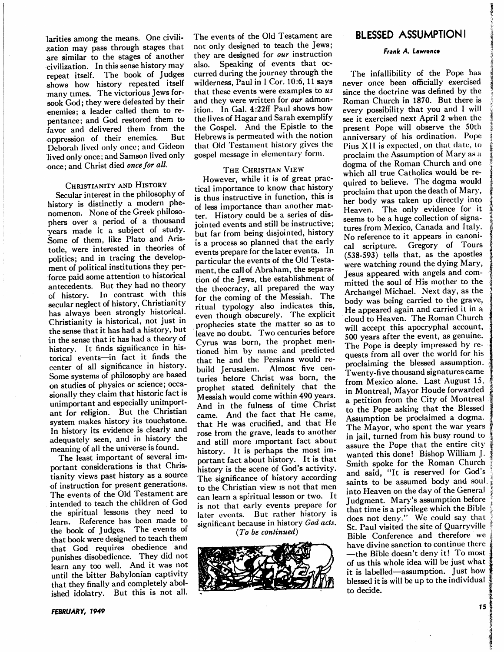larities among the means. One civili zation may pass through stages that are similar to the stages of another civilization. In this sense history may repeat itself. The book of Judges shows how history repeated itself many times. The victorious Jews for sook God; they were defeated by their enemies; a leader called them to repentance; and God restored them to favor and delivered them from the oppression of their enemies. But Deborah lived only once; and Gideon lived only once; and Samson lived only once; and Christ died once for all.

#### CHRISTIANITY AND HISTORY

Secular interest in the philosophy of history is distinctly a modern phenomenon. None of the Greek philoso phers over a period of a thousand years made it a subject of study. Some of them, like Plato and Aris totle, were interested in theories of politics; and in tracing the develop ment of political institutions they per force paid some attention to historical antecedents. But they had no theory of history. In contrast with this secular neglect of history, Christianity has always been strongly historical. Christianity is historical, not just in the sense that it has had a history, but in the sense that it has had a theory of history. It finds significance in his torical events—in fact it finds the center of all significance in history. Some systems of philosophy are based on studies of physics or science; occa sionally they claim that historic fact is unimportant and especially unimport ant for religion. But the Christian system makes history its touchstone. In history its evidence is clearly and adequately seen, and in history the meaning of all the universe is found.

The least important of several im portant considerations is that Chris tianity views past history as source of instruction for present generations. The events of the Old Testament are intended to teach the children of God the spiritual lessons they need to learn. Reference has been made to the book of Judges. The events of that book were designed to teach them that God requires obedience and punishes disobedience. They did not learn any too well. And it was not until the bitter Babylonian captivity that they finally and completely abol ished idolatry. But this is not all.

The events of the Old Testament are not only designed to teach the Jews; they are designed for our instruction also. Speaking of events that oc curred during the journey through the wilderness, Paul in I Cor. 10:6, 11 says that these events were examples to  $us$ and they were written for our admonition. In Gal. 4:22ff Paul shows how the lives of Hagar and Sarah exemplify the Gospel. And the Epistle to the Hebrews is permeated with the notion that Old Testament history gives the gospel message in elementary form.

#### The Christian View

However, while it is of great prac tical importance to know that history is thus instructive in function, this is of less importance than another mat ter. History could be a series of dis jointed events and still be instructive; but far from being disjointed, history is a process so planned that the early events prepare for the later events. In particular the events of the Old Testa ment, the call of Abraham, the separa tion of the Jews, the establishment of the theocracy, all prepared the way for the coming of the Messiah. The ritual typology also indicates this, even though obscurely. The explicit prophecies state the matter so as to leave no doubt. Two centuries before Cyrus was born, the prophet men tioned him by name and predicted that he and the Persians would re build Jerusalem. Almost five cen turies betore Christ was born, the prophet stated definitely that the Messiah would come within 490 years. And in the fulness of time Christ came. And the fact that He came, that He was crucified, and that He rose from the grave, leads to another and still more important fact about history. It is perhaps the most im portant fact about history. It is that history is the scene of God's activity. The significance of history according to the Christian view is not that men can learn a spiritual lesson or two. It is not that early events prepare for later events. But rather history is significant because in history God acts.

(To be continued)



### BLESSED ASSUMPTION!

#### Frank A. Lawrence

The infallibility of the Pope has never once been officially exercised since the doctrine was defined by the Roman Church in 1870. But there is every possibility that you and I will see it exercised next April 2 when the present Pope will observe the 50th anniversary of his ordination. Pope Pius XII is expected, on that date, to proclaim the Assumption of Mary as dogma of the Roman Church and one which all true Catholics would be re quired to believe. The dogma would proclaim that upon the death of Mary, her body was taken up directly into Heaven. The only evidence for it seems to be a huge collection of signa tures from Mexico, Canada and Italy. No reference to it appears in canoni cal scripture. Gregory of Tours (538-593) tells that, as the apostles were watching round the dying Mary, Jesus appeared with angels and com mitted the soul of His mother to the Archangel Michael. Next day, as the body was being carried to the grave, He appeared again and carried it in a cloud to Heaven. The Roman Church will accept this apocryphal account, 500 years after the event, as genuine. The Pope is deeply impressed by re quests from all over the world for his proclaiming the blessed assumption. Twenty-five thousand signatures came from Mexico alone. Last August 15, in Montreal, Mayor Houde forwarded petition from the City of Montreal to the Pope asking that the Blessed Assumption be proclaimed a dogma. The Mayor, who spent the war years in jail, turned from his busy round to assure the Pope that the entire city wanted this done! Bishop William J. Smith spoke for the Roman Church and said, "It is reserved for God's saints to be assumed body and soul. into Heaven on the day of the General Judgment. Mary's assumption before that time is a privilege which the Bible does not deny." We could say that St. Paul visited the site of Quarryville Bible Conference and therefore we have divine sanction to continue there —the Bible doesn't deny it! To most of us this whole idea will be just what it is labelled—assumption. Just how blessed it is will be up to the individual to decide.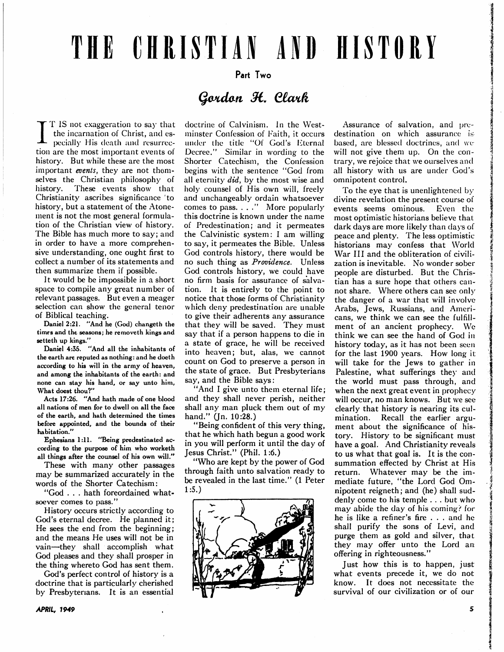# THE CHRISTIAN AND HISTORY

### Part Two

# Gordon H. Clark

IT IS not exaggeration to say that the incarnation of Christ, and es pecially His death and resurrec tion are the most important events of history. But while these are the most important events, they are not themselves the Christian philosophy of history. These events show that Christianity ascribes significance to history, but a statement of the Atonement is not the most general formula tion of the Christian view of history. The Bible has much more to say; and in order to have a more comprehensive understanding, one ought first to collect a number of its statements and then summarize them if possible.

It would be be impossible in a short space to compile any great number of relevant passages. But even a meager selection can show the general tenor of Biblical teaching.

Daniel 2:21. "And he (God) changeth the times and the seasons; he removeth kings and setteth up kings."

Daniel 4:35. "And all the inhabitants of the earth are reputed as nothing: and he doeth according to his will in the army of heaven, and among the inhabitants of the earth: and none can stay his hand, or say unto him, What doest thou?"

Acts 17:26. "And hath made of one blood all nations of men for to dwell on all the face of the earth, and hath determined the times before appointed, and the bounds of their habitation."

Ephesians 1:11. "Being predestinated ac cording to the purpose of him who worketh all things after the counsel of his own will."

These with many other passages may be summarized accurately in the words of the Shorter Catechism:

"God . . . hath foreordained what soever comes to pass."

History occurs strictly according to God's eternal decree. He planned it; He sees the end from the beginning; and the means He uses will not be in vain—they shall accomplish what God pleases and they shall prosper in the thing whereto God has sent them.

God's perfect control of history is doctrine that is particularly cherished by Presbyterians. It is an essential

doctrine of Calvinism. In the West minster Confession of Faith, it occurs under the title "Of God's Eternal Decree." Similar in wording to the Shorter Catechism, the Confession begins with the sentence "God from all eternity did, by the most wise and holy counsel of His own will, freely and unchangeably ordain whatsoever comes to pass. ..." More popularly this doctrine is known under the name of Predestination; and it permeates the Calvinistic system: I am willing to say, it permeates the Bible. Unless God controls history, there would be no such thing as Providence. Unless God controls history, we could have no firm basis for assurance of salva tion. It is entirely to the point to notice that those forms of Christianity which deny predestination are unable to give their adherents any assurance that they will be saved. They must say that if a person happens to die in a state of grace, he will be received into heaven; but, alas, we cannot count on God to preserve a person in the state of grace. But Presbyterians say, and the Bible says:

"And I give unto them eternal life; and they shall never perish, neither shall any man pluck them out of my hand." (Jn. 10:28.)

"Being confident of this very thing, that he which hath begun a good work in you will perform it until the day of Jesus Christ." (Phil. 1:6.)

"Who are kept by the power of God through faith unto salvation ready to be revealed in the last time." (1 Peter 1:5.)



Assurance of salvation, and pre destination on which assurance is based, arc blessed doctrines, and we will not give them up. On the contrary, we rejoice that we ourselves and all history with us are under God's omnipotent control.

To the eye that is unenlightened by divine revelation the present course of events seems ominous. Even the most optimistic historians believe that dark days are more likely than days of peace and plenty. The less optimistic historians may confess that World War III and the obliteration of civili zation is inevitable. No wonder sober people are disturbed. But the Chris tian has a sure hope that others cannot share. Where others can see only the danger of a war that will involve Arabs, Jews, Russians, and Ameri cans, we think we can see the fulfill ment of an ancient prophecy. We think we can see the hand of God in history today, as it has not been seen for the last 1900 years. How long it will take for the Jews to gather in Palestine, what sufferings they and the world must pass through, and when the next great event in prophecy will occur, no man knows. But we see clearly that history is nearing its cul mination. Recall the earlier argu ment about the significance of his tory. History to be significant must have a goal. And Christianity reveals to us what that goal is. It is the con summation effected by Christ at His return. Whatever may be the im mediate future, "the Lord God Om nipotent reigneth; and (he) shall sud denly come to his temple ... but who may abide the day of his coming? for he is like a refiner's fire . . . and he shall purify the sons of Levi, and purge them as gold and silver, that they may offer unto the Lord an offering in righteousness."

Just how this is to happen, just what events precede it, we do not know. It does not necessitate the survival of our civilization or of our